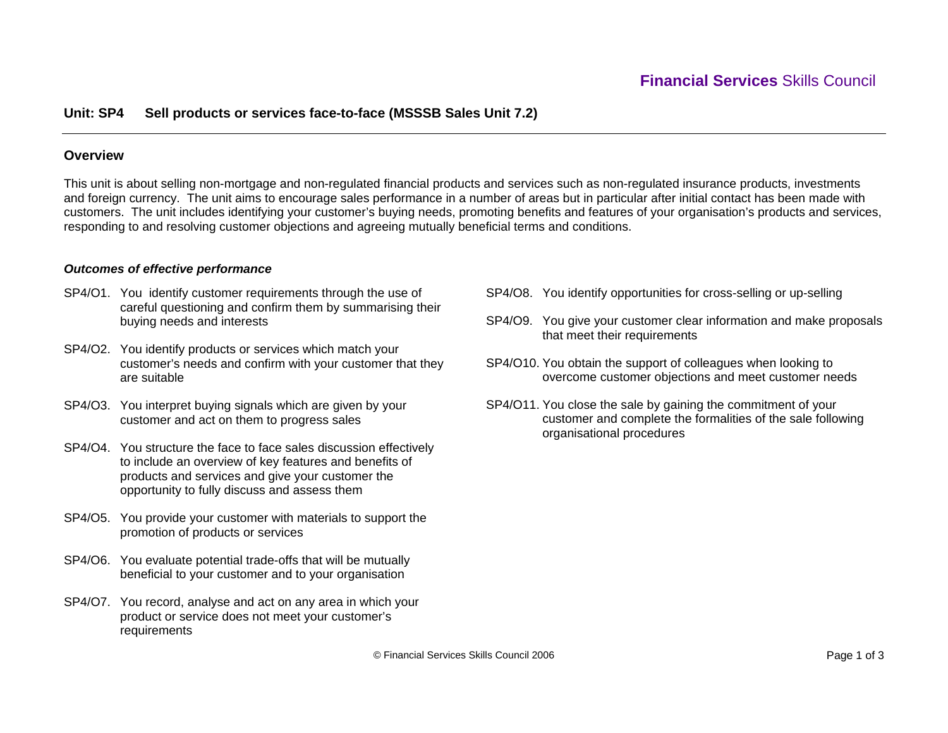## **Unit: SP4 Sell products or services face-to-face (MSSSB Sales Unit 7.2)**

### **Overview**

This unit is about selling non-mortgage and non-regulated financial products and services such as non-regulated insurance products, investments and foreign currency. The unit aims to encourage sales performance in a number of areas but in particular after initial contact has been made with customers. The unit includes identifying your customer's buying needs, promoting benefits and features of your organisation's products and services, responding to and resolving customer objections and agreeing mutually beneficial terms and conditions.

#### *Outcomes of effective performance*

- SP4/O1. You identify customer requirements through the use of careful questioning and confirm them by summarising their buying needs and interests
- SP4/O2. You identify products or services which match your customer's needs and confirm with your customer that they are suitable
- SP4/O3. You interpret buying signals which are given by your customer and act on them to progress sales
- SP4/O4. You structure the face to face sales discussion effectively to include an overview of key features and benefits of products and services and give your customer the opportunity to fully discuss and assess them
- SP4/O5. You provide your customer with materials to support the promotion of products or services
- SP4/O6. You evaluate potential trade-offs that will be mutually beneficial to your customer and to your organisation
- SP4/O7. You record, analyse and act on any area in which your product or service does not meet your customer's requirements
- SP4/O8. You identify opportunities for cross-selling or up-selling
- SP4/O9. You give your customer clear information and make proposals that meet their requirements
- SP4/O10. You obtain the support of colleagues when looking to overcome customer objections and meet customer needs
- SP4/O11. You close the sale by gaining the commitment of your customer and complete the formalities of the sale following organisational procedures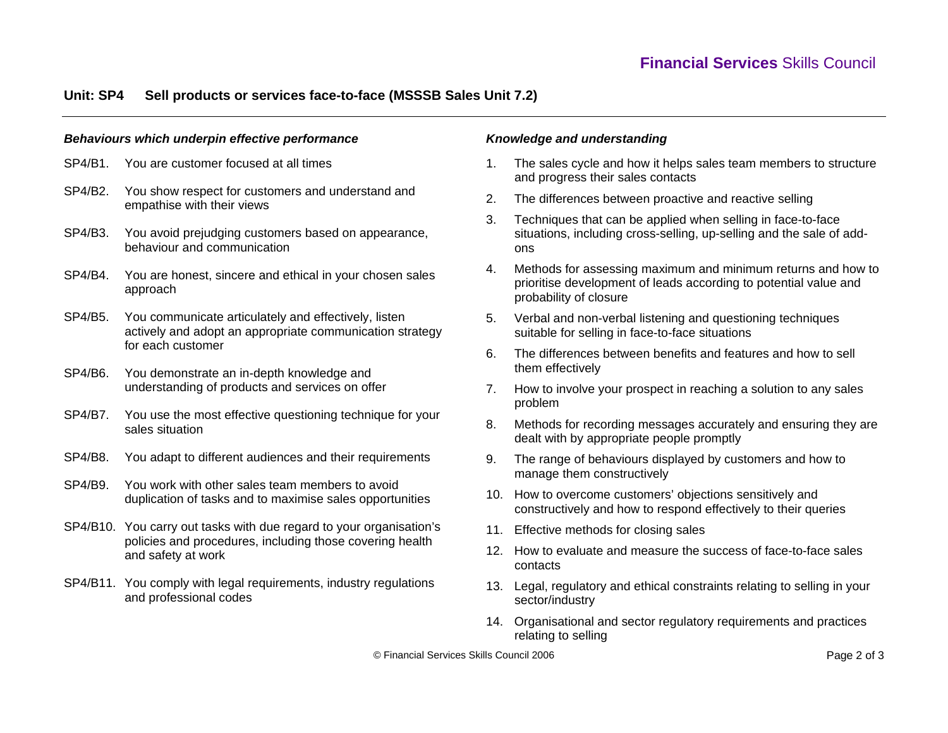# **Unit: SP4 Sell products or services face-to-face (MSSSB Sales Unit 7.2)**

#### *Behaviours which underpin effective performance*

- SP4/B1. You are customer focused at all times
- SP4/B2. You show respect for customers and understand and empathise with their views
- SP4/B3. You avoid prejudging customers based on appearance, behaviour and communication
- SP4/B4. You are honest, sincere and ethical in your chosen sales approach
- SP4/B5. You communicate articulately and effectively, listen actively and adopt an appropriate communication strategy for each customer
- SP4/B6. You demonstrate an in-depth knowledge and understanding of products and services on offer
- SP4/B7. You use the most effective questioning technique for your sales situation
- SP4/B8. You adapt to different audiences and their requirements
- SP4/B9. You work with other sales team members to avoid duplication of tasks and to maximise sales opportunities
- SP4/B10. You carry out tasks with due regard to your organisation's policies and procedures, including those covering health and safety at work
- SP4/B11. You comply with legal requirements, industry regulations and professional codes

### *Knowledge and understanding*

- 1. The sales cycle and how it helps sales team members to structure and progress their sales contacts
- 2. The differences between proactive and reactive selling
- 3. Techniques that can be applied when selling in face-to-face situations, including cross-selling, up-selling and the sale of addons
- 4. Methods for assessing maximum and minimum returns and how to prioritise development of leads according to potential value and probability of closure
- 5. Verbal and non-verbal listening and questioning techniques suitable for selling in face-to-face situations
- 6. The differences between benefits and features and how to sell them effectively
- 7. How to involve your prospect in reaching a solution to any sales problem
- 8. Methods for recording messages accurately and ensuring they are dealt with by appropriate people promptly
- 9. The range of behaviours displayed by customers and how to manage them constructively
- 10. How to overcome customers' objections sensitively and constructively and how to respond effectively to their queries
- 11. Effective methods for closing sales
- 12. How to evaluate and measure the success of face-to-face sales contacts
- 13. Legal, regulatory and ethical constraints relating to selling in your sector/industry
- 14. Organisational and sector regulatory requirements and practices relating to selling